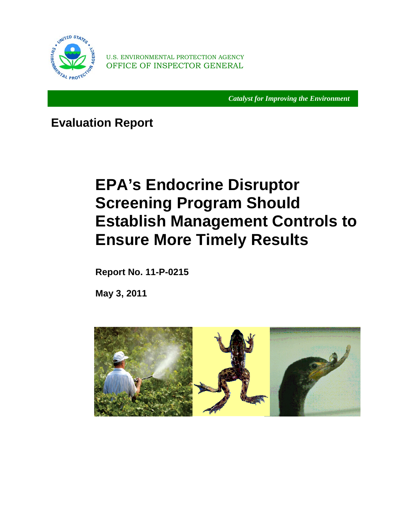

U.S. ENVIRONMENTAL PROTECTION AGENCY OFFICE OF INSPECTOR GENERAL

*Catalyst for Improving the Environment* 

 **Evaluation Report** 

## **EPA's Endocrine Disruptor Screening Program Should Establish Management Controls to Ensure More Timely Results**

**Report No. 11-P-0215** 

**May 3, 2011** 

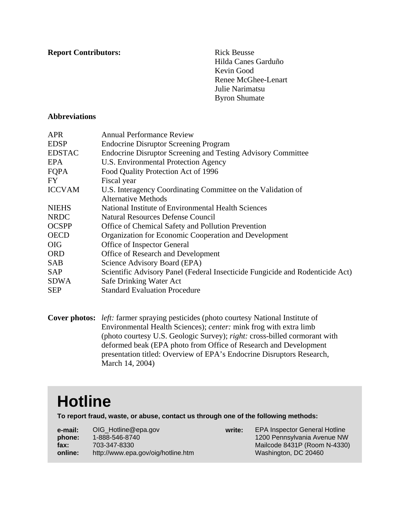**Report Contributors:** Rick Beusse

Hilda Canes Garduño Kevin Good Renee McGhee-Lenart Julie Narimatsu Byron Shumate

#### **Abbreviations**

| <b>APR</b>    | <b>Annual Performance Review</b>                                              |
|---------------|-------------------------------------------------------------------------------|
| <b>EDSP</b>   | <b>Endocrine Disruptor Screening Program</b>                                  |
| <b>EDSTAC</b> | <b>Endocrine Disruptor Screening and Testing Advisory Committee</b>           |
| EPA           | U.S. Environmental Protection Agency                                          |
| FQPA          | Food Quality Protection Act of 1996                                           |
| FY.           | Fiscal year                                                                   |
| <b>ICCVAM</b> | U.S. Interagency Coordinating Committee on the Validation of                  |
|               | <b>Alternative Methods</b>                                                    |
| <b>NIEHS</b>  | National Institute of Environmental Health Sciences                           |
| <b>NRDC</b>   | Natural Resources Defense Council                                             |
| <b>OCSPP</b>  | Office of Chemical Safety and Pollution Prevention                            |
| <b>OECD</b>   | Organization for Economic Cooperation and Development                         |
| <b>OIG</b>    | Office of Inspector General                                                   |
| <b>ORD</b>    | Office of Research and Development                                            |
| <b>SAB</b>    | Science Advisory Board (EPA)                                                  |
| <b>SAP</b>    | Scientific Advisory Panel (Federal Insecticide Fungicide and Rodenticide Act) |
| <b>SDWA</b>   | Safe Drinking Water Act                                                       |
| <b>SEP</b>    | <b>Standard Evaluation Procedure</b>                                          |

Environmental Health Sciences); center: mink frog with extra limb **Cover photos:** *left:* farmer spraying pesticides (photo courtesy National Institute of (photo courtesy U.S. Geologic Survey); *right:* cross-billed cormorant with deformed beak (EPA photo from Office of Research and Development presentation titled: Overview of EPA's Endocrine Disruptors Research, March 14, 2004)

## **Hotline**

**To report fraud, waste, or abuse, contact us through one of the following methods:** 

| e-mail: | OIG_Hotline@epa.gov                |
|---------|------------------------------------|
| phone:  | 1-888-546-8740                     |
| fax:    | 703-347-8330                       |
| online: | http://www.epa.gov/oig/hotline.htm |

**write:** EPA Inspector General Hotline 1200 Pennsylvania Avenue NW Mailcode 8431P (Room N-4330) Washington, DC 20460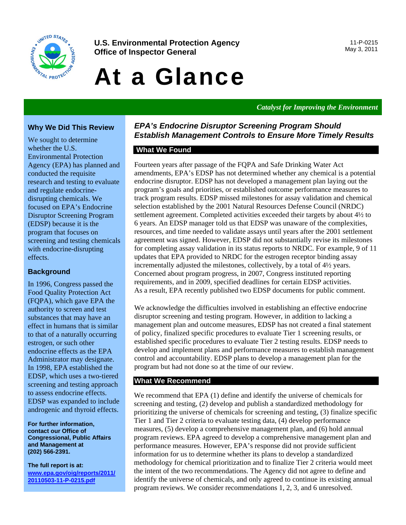

**U.S. Environmental Protection Agency** 11-P-0215<br> **Office of Increator General**<br>
May 3, 2011 **Office of Inspector General** 

# At a Glance

*Catalyst for Improving the Environment* 

#### **Why We Did This Review**

We sought to determine whether the U.S. Environmental Protection Agency (EPA) has planned and conducted the requisite research and testing to evaluate and regulate endocrinedisrupting chemicals. We focused on EPA's Endocrine Disruptor Screening Program (EDSP) because it is the program that focuses on screening and testing chemicals with endocrine-disrupting effects.

#### **Background**

In 1996, Congress passed the Food Quality Protection Act (FQPA), which gave EPA the authority to screen and test substances that may have an effect in humans that is similar to that of a naturally occurring estrogen, or such other endocrine effects as the EPA Administrator may designate. In 1998, EPA established the EDSP, which uses a two-tiered screening and testing approach to assess endocrine effects. EDSP was expanded to include androgenic and thyroid effects.

**For further information, contact our Office of Congressional, Public Affairs and Management at (202) 566-2391.** 

**The full report is at: [www.epa.gov/oig/reports/2011/](http://www.epa.gov/oig/reports/2011/20110503-11-P-0215.pdf)  20110503-11-P-0215.pdf** 

#### *EPA's Endocrine Disruptor Screening Program Should Establish Management Controls to Ensure More Timely Results*

#### **What We Found**

Fourteen years after passage of the FQPA and Safe Drinking Water Act amendments, EPA's EDSP has not determined whether any chemical is a potential endocrine disruptor. EDSP has not developed a management plan laying out the program's goals and priorities, or established outcome performance measures to track program results. EDSP missed milestones for assay validation and chemical selection established by the 2001 Natural Resources Defense Council (NRDC) settlement agreement. Completed activities exceeded their targets by about 4½ to 6 years. An EDSP manager told us that EDSP was unaware of the complexities, resources, and time needed to validate assays until years after the 2001 settlement agreement was signed. However, EDSP did not substantially revise its milestones for completing assay validation in its status reports to NRDC. For example, 9 of 11 updates that EPA provided to NRDC for the estrogen receptor binding assay incrementally adjusted the milestones, collectively, by a total of 4½ years. Concerned about program progress, in 2007, Congress instituted reporting requirements, and in 2009, specified deadlines for certain EDSP activities. As a result, EPA recently published two EDSP documents for public comment.

We acknowledge the difficulties involved in establishing an effective endocrine disruptor screening and testing program. However, in addition to lacking a management plan and outcome measures, EDSP has not created a final statement of policy, finalized specific procedures to evaluate Tier 1 screening results, or established specific procedures to evaluate Tier 2 testing results. EDSP needs to develop and implement plans and performance measures to establish management control and accountability. EDSP plans to develop a management plan for the program but had not done so at the time of our review.

#### **What We Recommend**

We recommend that EPA (1) define and identify the universe of chemicals for screening and testing, (2) develop and publish a standardized methodology for prioritizing the universe of chemicals for screening and testing, (3) finalize specific Tier 1 and Tier 2 criteria to evaluate testing data, (4) develop performance measures, (5) develop a comprehensive management plan, and (6) hold annual program reviews. EPA agreed to develop a comprehensive management plan and performance measures. However, EPA's response did not provide sufficient information for us to determine whether its plans to develop a standardized methodology for chemical prioritization and to finalize Tier 2 criteria would meet the intent of the two recommendations. The Agency did not agree to define and identify the universe of chemicals, and only agreed to continue its existing annual program reviews. We consider recommendations 1, 2, 3, and 6 unresolved.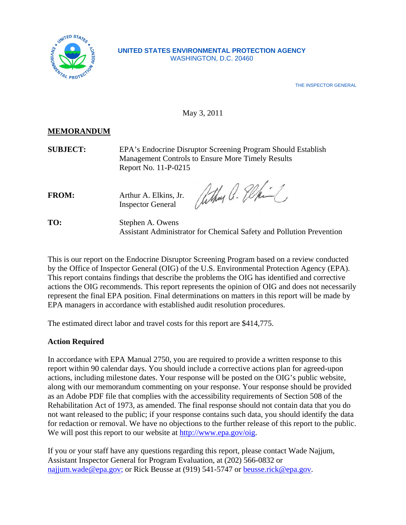

#### **UNITED STATES ENVIRONMENTAL PROTECTION AGENCY**  WASHINGTON, D.C. 20460

THE INSPECTOR GENERAL

#### May 3, 2011

#### **MEMORANDUM**

TO:

**SUBJECT:** EPA's Endocrine Disruptor Screening Program Should Establish Management Controls to Ensure More Timely Results Report No. 11-P-0215

FROM: Arthur A. Elkins, Jr. Inspector General

athur a. Elki

**Stephen A. Owens** Assistant Administrator for Chemical Safety and Pollution Prevention

This is our report on the Endocrine Disruptor Screening Program based on a review conducted by the Office of Inspector General (OIG) of the U.S. Environmental Protection Agency (EPA). This report contains findings that describe the problems the OIG has identified and corrective actions the OIG recommends. This report represents the opinion of OIG and does not necessarily represent the final EPA position. Final determinations on matters in this report will be made by EPA managers in accordance with established audit resolution procedures.

The estimated direct labor and travel costs for this report are \$414,775.

#### **Action Required**

In accordance with EPA Manual 2750, you are required to provide a written response to this report within 90 calendar days. You should include a corrective actions plan for agreed-upon actions, including milestone dates. Your response will be posted on the OIG's public website, along with our memorandum commenting on your response. Your response should be provided as an Adobe PDF file that complies with the accessibility requirements of Section 508 of the Rehabilitation Act of 1973, as amended. The final response should not contain data that you do not want released to the public; if your response contains such data, you should identify the data for redaction or removal. We have no objections to the further release of this report to the public. We will post this report to our website at http://www.epa.gov/oig.

If you or your staff have any questions regarding this report, please contact Wade Najjum, Assistant Inspector General for Program Evaluation, at (202) 566-0832 or [najjum.wade@epa.gov; or](mailto:najjum.wade@epa.gov) Rick Beusse at (919) 541-5747 or [beusse.rick@epa.gov.](mailto:beusse.rick@epa.gov)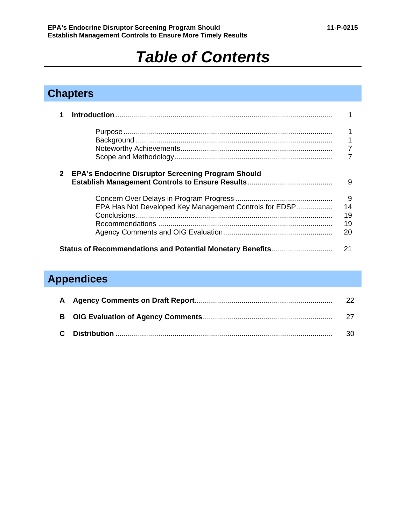## *Table of Contents*

### **Chapters**

|              |                                                           | 1              |
|--------------|-----------------------------------------------------------|----------------|
|              |                                                           | 1              |
|              |                                                           | $\overline{7}$ |
|              |                                                           |                |
| $\mathbf{2}$ | <b>EPA's Endocrine Disruptor Screening Program Should</b> | 9              |
|              |                                                           | - 9            |
|              | EPA Has Not Developed Key Management Controls for EDSP    | 14             |
|              |                                                           | 19             |
|              |                                                           | 19             |
|              |                                                           | 20             |
|              | Status of Recommendations and Potential Monetary Benefits | 21             |

## **Appendices**

|  | 30- |
|--|-----|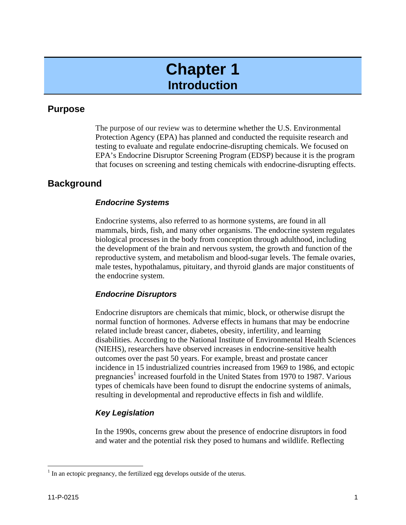## **Chapter 1 Introduction**

#### **Purpose**

The purpose of our review was to determine whether the U.S. Environmental Protection Agency (EPA) has planned and conducted the requisite research and testing to evaluate and regulate endocrine-disrupting chemicals. We focused on EPA's Endocrine Disruptor Screening Program (EDSP) because it is the program that focuses on screening and testing chemicals with endocrine-disrupting effects.

#### **Background**

#### *Endocrine Systems*

Endocrine systems, also referred to as hormone systems, are found in all mammals, birds, fish, and many other organisms. The endocrine system regulates biological processes in the body from conception through adulthood, including the development of the brain and nervous system, the growth and function of the reproductive system, and metabolism and blood-sugar levels. The female ovaries, male testes, hypothalamus, pituitary, and thyroid glands are major constituents of the endocrine system.

#### *Endocrine Disruptors*

Endocrine disruptors are chemicals that mimic, block, or otherwise disrupt the normal function of hormones. Adverse effects in humans that may be endocrine related include breast cancer, diabetes, obesity, infertility, and learning disabilities. According to the National Institute of Environmental Health Sciences (NIEHS), researchers have observed increases in endocrine-sensitive health outcomes over the past 50 years. For example, breast and prostate cancer incidence in 15 industrialized countries increased from 1969 to 1986, and ectopic pregnancies<sup>1</sup> increased fourfold in the United States from 1970 to 1987. Various types of chemicals have been found to disrupt the endocrine systems of animals, resulting in developmental and reproductive effects in fish and wildlife.

#### *Key Legislation*

In the 1990s, concerns grew about the presence of endocrine disruptors in food and water and the potential risk they posed to humans and wildlife. Reflecting

 $\overline{a}$ 

 $<sup>1</sup>$  In an ectopic pregnancy, the fertilized egg develops outside of the uterus.</sup>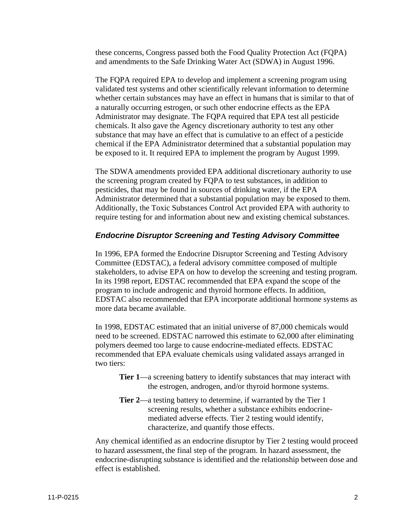these concerns, Congress passed both the Food Quality Protection Act (FQPA) and amendments to the Safe Drinking Water Act (SDWA) in August 1996.

The FQPA required EPA to develop and implement a screening program using validated test systems and other scientifically relevant information to determine whether certain substances may have an effect in humans that is similar to that of a naturally occurring estrogen, or such other endocrine effects as the EPA Administrator may designate. The FQPA required that EPA test all pesticide chemicals. It also gave the Agency discretionary authority to test any other substance that may have an effect that is cumulative to an effect of a pesticide chemical if the EPA Administrator determined that a substantial population may be exposed to it. It required EPA to implement the program by August 1999.

The SDWA amendments provided EPA additional discretionary authority to use the screening program created by FQPA to test substances, in addition to pesticides, that may be found in sources of drinking water, if the EPA Administrator determined that a substantial population may be exposed to them. Additionally, the Toxic Substances Control Act provided EPA with authority to require testing for and information about new and existing chemical substances.

#### *Endocrine Disruptor Screening and Testing Advisory Committee*

In 1996, EPA formed the Endocrine Disruptor Screening and Testing Advisory Committee (EDSTAC), a federal advisory committee composed of multiple stakeholders, to advise EPA on how to develop the screening and testing program. In its 1998 report, EDSTAC recommended that EPA expand the scope of the program to include androgenic and thyroid hormone effects. In addition, EDSTAC also recommended that EPA incorporate additional hormone systems as more data became available.

In 1998, EDSTAC estimated that an initial universe of 87,000 chemicals would need to be screened. EDSTAC narrowed this estimate to 62,000 after eliminating polymers deemed too large to cause endocrine-mediated effects. EDSTAC recommended that EPA evaluate chemicals using validated assays arranged in two tiers:

- **Tier 1—a** screening battery to identify substances that may interact with the estrogen, androgen, and/or thyroid hormone systems.
- **Tier 2**—a testing battery to determine, if warranted by the Tier 1 screening results, whether a substance exhibits endocrinemediated adverse effects. Tier 2 testing would identify, characterize, and quantify those effects.

Any chemical identified as an endocrine disruptor by Tier 2 testing would proceed to hazard assessment, the final step of the program. In hazard assessment, the endocrine-disrupting substance is identified and the relationship between dose and effect is established.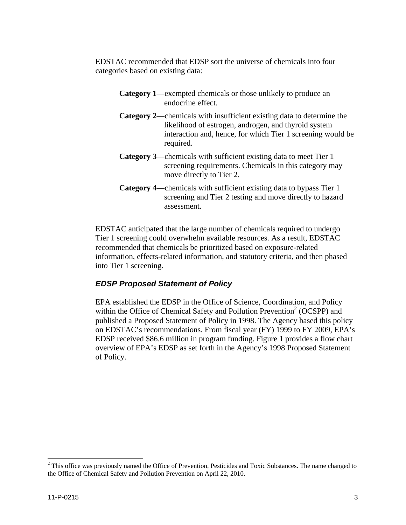EDSTAC recommended that EDSP sort the universe of chemicals into four categories based on existing data:

- **Category 1**—exempted chemicals or those unlikely to produce an endocrine effect.
- **Category 2**—chemicals with insufficient existing data to determine the likelihood of estrogen, androgen, and thyroid system interaction and, hence, for which Tier 1 screening would be required.
- **Category 3**—chemicals with sufficient existing data to meet Tier 1 screening requirements. Chemicals in this category may move directly to Tier 2.
- **Category 4**—chemicals with sufficient existing data to bypass Tier 1 screening and Tier 2 testing and move directly to hazard assessment.

EDSTAC anticipated that the large number of chemicals required to undergo Tier 1 screening could overwhelm available resources. As a result, EDSTAC recommended that chemicals be prioritized based on exposure-related information, effects-related information, and statutory criteria, and then phased into Tier 1 screening.

#### *EDSP Proposed Statement of Policy*

EPA established the EDSP in the Office of Science, Coordination, and Policy within the Office of Chemical Safety and Pollution Prevention<sup>2</sup> (OCSPP) and published a Proposed Statement of Policy in 1998. The Agency based this policy on EDSTAC's recommendations. From fiscal year (FY) 1999 to FY 2009, EPA's EDSP received \$86.6 million in program funding. Figure 1 provides a flow chart overview of EPA's EDSP as set forth in the Agency's 1998 Proposed Statement of Policy.

 $\overline{a}$ 

 the Office of Chemical Safety and Pollution Prevention on April 22, 2010.  $2$  This office was previously named the Office of Prevention, Pesticides and Toxic Substances. The name changed to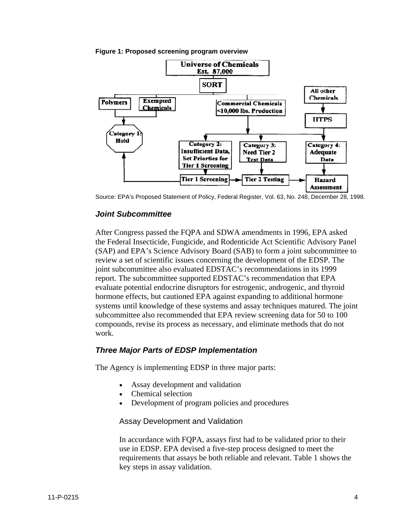



Source: EPA's Proposed Statement of Policy, Federal Register, Vol. 63, No. 248, December 28, 1998.

#### *Joint Subcommittee*

After Congress passed the FQPA and SDWA amendments in 1996, EPA asked the Federal Insecticide, Fungicide, and Rodenticide Act Scientific Advisory Panel (SAP) and EPA's Science Advisory Board (SAB) to form a joint subcommittee to review a set of scientific issues concerning the development of the EDSP. The joint subcommittee also evaluated EDSTAC's recommendations in its 1999 report. The subcommittee supported EDSTAC's recommendation that EPA evaluate potential endocrine disruptors for estrogenic, androgenic, and thyroid hormone effects, but cautioned EPA against expanding to additional hormone systems until knowledge of these systems and assay techniques matured. The joint subcommittee also recommended that EPA review screening data for 50 to 100 compounds, revise its process as necessary, and eliminate methods that do not work.

#### *Three Major Parts of EDSP Implementation*

The Agency is implementing EDSP in three major parts:

- Assay development and validation
- Chemical selection
- Development of program policies and procedures

#### Assay Development and Validation

In accordance with FQPA, assays first had to be validated prior to their use in EDSP. EPA devised a five-step process designed to meet the requirements that assays be both reliable and relevant. Table 1 shows the key steps in assay validation.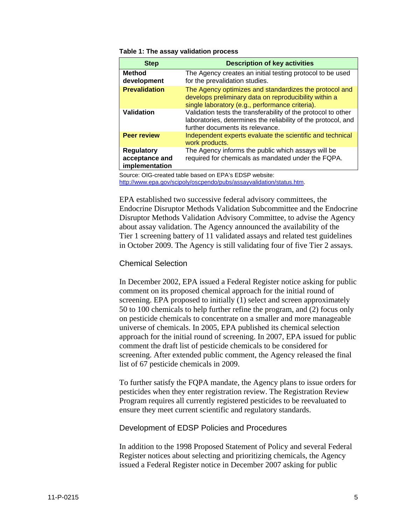#### **Table 1: The assay validation process**

| <b>Step</b>                                           | <b>Description of key activities</b>                                                                                                                               |
|-------------------------------------------------------|--------------------------------------------------------------------------------------------------------------------------------------------------------------------|
| <b>Method</b><br>development                          | The Agency creates an initial testing protocol to be used<br>for the prevalidation studies.                                                                        |
| <b>Prevalidation</b>                                  | The Agency optimizes and standardizes the protocol and<br>develops preliminary data on reproducibility within a<br>single laboratory (e.g., performance criteria). |
| Validation                                            | Validation tests the transferability of the protocol to other<br>laboratories, determines the reliability of the protocol, and<br>further documents its relevance. |
| <b>Peer review</b>                                    | Independent experts evaluate the scientific and technical<br>work products.                                                                                        |
| <b>Regulatory</b><br>acceptance and<br>implementation | The Agency informs the public which assays will be<br>required for chemicals as mandated under the FQPA.                                                           |

Source: OIG-created table based on EPA's EDSP website: http://www.epa.gov/scipoly/oscpendo/pubs/assayvalidation/status.htm.

EPA established two successive federal advisory committees, the Endocrine Disruptor Methods Validation Subcommittee and the Endocrine Disruptor Methods Validation Advisory Committee, to advise the Agency about assay validation. The Agency announced the availability of the Tier 1 screening battery of 11 validated assays and related test guidelines in October 2009. The Agency is still validating four of five Tier 2 assays.

#### Chemical Selection

In December 2002, EPA issued a Federal Register notice asking for public comment on its proposed chemical approach for the initial round of screening. EPA proposed to initially (1) select and screen approximately 50 to 100 chemicals to help further refine the program, and (2) focus only on pesticide chemicals to concentrate on a smaller and more manageable universe of chemicals. In 2005, EPA published its chemical selection approach for the initial round of screening. In 2007, EPA issued for public comment the draft list of pesticide chemicals to be considered for screening. After extended public comment, the Agency released the final list of 67 pesticide chemicals in 2009.

To further satisfy the FQPA mandate, the Agency plans to issue orders for pesticides when they enter registration review. The Registration Review Program requires all currently registered pesticides to be reevaluated to ensure they meet current scientific and regulatory standards.

#### Development of EDSP Policies and Procedures

In addition to the 1998 Proposed Statement of Policy and several Federal Register notices about selecting and prioritizing chemicals, the Agency issued a Federal Register notice in December 2007 asking for public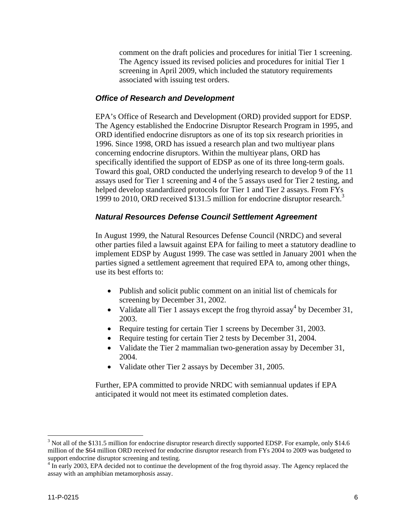comment on the draft policies and procedures for initial Tier 1 screening. The Agency issued its revised policies and procedures for initial Tier 1 screening in April 2009, which included the statutory requirements associated with issuing test orders.

#### *Office of Research and Development*

EPA's Office of Research and Development (ORD) provided support for EDSP. The Agency established the Endocrine Disruptor Research Program in 1995, and ORD identified endocrine disruptors as one of its top six research priorities in 1996. Since 1998, ORD has issued a research plan and two multiyear plans concerning endocrine disruptors. Within the multiyear plans, ORD has specifically identified the support of EDSP as one of its three long-term goals. Toward this goal, ORD conducted the underlying research to develop 9 of the 11 assays used for Tier 1 screening and 4 of the 5 assays used for Tier 2 testing, and helped develop standardized protocols for Tier 1 and Tier 2 assays. From FYs 1999 to 2010, ORD received \$131.5 million for endocrine disruptor research.<sup>3</sup>

#### *Natural Resources Defense Council Settlement Agreement*

In August 1999, the Natural Resources Defense Council (NRDC) and several other parties filed a lawsuit against EPA for failing to meet a statutory deadline to implement EDSP by August 1999. The case was settled in January 2001 when the parties signed a settlement agreement that required EPA to, among other things, use its best efforts to:

- Publish and solicit public comment on an initial list of chemicals for screening by December 31, 2002.
- Validate all Tier 1 assays except the frog thyroid assay<sup>4</sup> by December 31, 2003.
- Require testing for certain Tier 1 screens by December 31, 2003.
- Require testing for certain Tier 2 tests by December 31, 2004.
- Validate the Tier 2 mammalian two-generation assay by December 31, 2004.
- Validate other Tier 2 assays by December 31, 2005.

Further, EPA committed to provide NRDC with semiannual updates if EPA anticipated it would not meet its estimated completion dates.

 $\overline{a}$ 

 $3$  Not all of the \$131.5 million for endocrine disruptor research directly supported EDSP. For example, only \$14.6 million of the \$64 million ORD received for endocrine disruptor research from FYs 2004 to 2009 was budgeted to support endocrine disruptor screening and testing.

<sup>&</sup>lt;sup>4</sup> In early 2003, EPA decided not to continue the development of the frog thyroid assay. The Agency replaced the assay with an amphibian metamorphosis assay.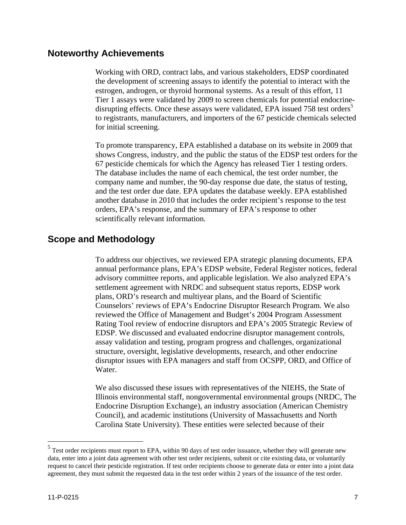#### **Noteworthy Achievements**

Working with ORD, contract labs, and various stakeholders, EDSP coordinated the development of screening assays to identify the potential to interact with the estrogen, androgen, or thyroid hormonal systems. As a result of this effort, 11 Tier 1 assays were validated by 2009 to screen chemicals for potential endocrinedisrupting effects. Once these assays were validated, EPA issued 758 test orders<sup>5</sup> to registrants, manufacturers, and importers of the 67 pesticide chemicals selected for initial screening.

To promote transparency, EPA established a database on its website in 2009 that shows Congress, industry, and the public the status of the EDSP test orders for the 67 pesticide chemicals for which the Agency has released Tier 1 testing orders. The database includes the name of each chemical, the test order number, the company name and number, the 90-day response due date, the status of testing, and the test order due date. EPA updates the database weekly. EPA established another database in 2010 that includes the order recipient's response to the test orders, EPA's response, and the summary of EPA's response to other scientifically relevant information.

#### **Scope and Methodology**

Water. To address our objectives, we reviewed EPA strategic planning documents, EPA annual performance plans, EPA's EDSP website, Federal Register notices, federal advisory committee reports, and applicable legislation. We also analyzed EPA's settlement agreement with NRDC and subsequent status reports, EDSP work plans, ORD's research and multiyear plans, and the Board of Scientific Counselors' reviews of EPA's Endocrine Disruptor Research Program. We also reviewed the Office of Management and Budget's 2004 Program Assessment Rating Tool review of endocrine disruptors and EPA's 2005 Strategic Review of EDSP. We discussed and evaluated endocrine disruptor management controls, assay validation and testing, program progress and challenges, organizational structure, oversight, legislative developments, research, and other endocrine disruptor issues with EPA managers and staff from OCSPP, ORD, and Office of

We also discussed these issues with representatives of the NIEHS, the State of Illinois environmental staff, nongovernmental environmental groups (NRDC, The Endocrine Disruption Exchange), an industry association (American Chemistry Council), and academic institutions (University of Massachusetts and North Carolina State University). These entities were selected because of their

 $\overline{a}$ 

 $<sup>5</sup>$  Test order recipients must report to EPA, within 90 days of test order issuance, whether they will generate new</sup> data, enter into a joint data agreement with other test order recipients, submit or cite existing data, or voluntarily request to cancel their pesticide registration. If test order recipients choose to generate data or enter into a joint data agreement, they must submit the requested data in the test order within 2 years of the issuance of the test order.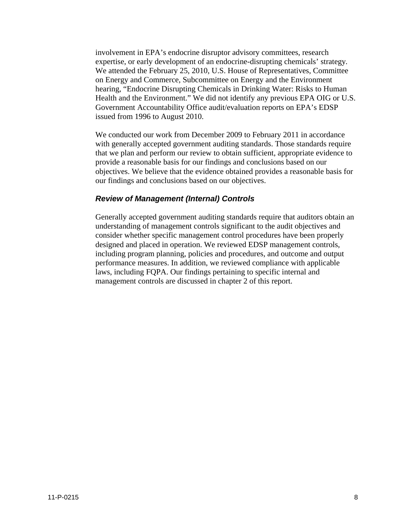involvement in EPA's endocrine disruptor advisory committees, research expertise, or early development of an endocrine-disrupting chemicals' strategy*.*  We attended the February 25, 2010, U.S. House of Representatives, Committee on Energy and Commerce, Subcommittee on Energy and the Environment hearing, "Endocrine Disrupting Chemicals in Drinking Water: Risks to Human Health and the Environment." We did not identify any previous EPA OIG or U.S. Government Accountability Office audit/evaluation reports on EPA's EDSP issued from 1996 to August 2010.

We conducted our work from December 2009 to February 2011 in accordance with generally accepted government auditing standards. Those standards require that we plan and perform our review to obtain sufficient, appropriate evidence to provide a reasonable basis for our findings and conclusions based on our objectives. We believe that the evidence obtained provides a reasonable basis for our findings and conclusions based on our objectives.

#### *Review of Management (Internal) Controls*

Generally accepted government auditing standards require that auditors obtain an understanding of management controls significant to the audit objectives and consider whether specific management control procedures have been properly designed and placed in operation. We reviewed EDSP management controls, including program planning, policies and procedures, and outcome and output performance measures. In addition, we reviewed compliance with applicable laws, including FQPA. Our findings pertaining to specific internal and management controls are discussed in chapter 2 of this report.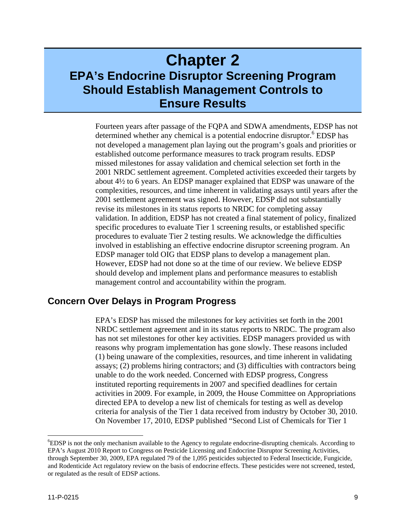## **Chapter 2 EPA's Endocrine Disruptor Screening Program Should Establish Management Controls to Ensure Results**

Fourteen years after passage of the FQPA and SDWA amendments, EDSP has not determined whether any chemical is a potential endocrine disruptor.<sup>6</sup> EDSP has not developed a management plan laying out the program's goals and priorities or established outcome performance measures to track program results. EDSP missed milestones for assay validation and chemical selection set forth in the 2001 NRDC settlement agreement. Completed activities exceeded their targets by about 4½ to 6 years. An EDSP manager explained that EDSP was unaware of the complexities, resources, and time inherent in validating assays until years after the 2001 settlement agreement was signed. However, EDSP did not substantially revise its milestones in its status reports to NRDC for completing assay validation. In addition, EDSP has not created a final statement of policy, finalized specific procedures to evaluate Tier 1 screening results, or established specific procedures to evaluate Tier 2 testing results. We acknowledge the difficulties involved in establishing an effective endocrine disruptor screening program. An EDSP manager told OIG that EDSP plans to develop a management plan. However, EDSP had not done so at the time of our review. We believe EDSP should develop and implement plans and performance measures to establish management control and accountability within the program.

#### **Concern Over Delays in Program Progress**

EPA's EDSP has missed the milestones for key activities set forth in the 2001 NRDC settlement agreement and in its status reports to NRDC. The program also has not set milestones for other key activities. EDSP managers provided us with reasons why program implementation has gone slowly. These reasons included (1) being unaware of the complexities, resources, and time inherent in validating assays; (2) problems hiring contractors; and (3) difficulties with contractors being unable to do the work needed. Concerned with EDSP progress, Congress instituted reporting requirements in 2007 and specified deadlines for certain activities in 2009. For example, in 2009, the House Committee on Appropriations directed EPA to develop a new list of chemicals for testing as well as develop criteria for analysis of the Tier 1 data received from industry by October 30, 2010. On November 17, 2010, EDSP published "Second List of Chemicals for Tier 1

 $\overline{a}$ 

 through September 30, 2009, EPA regulated 79 of the 1,095 pesticides subjected to Federal Insecticide, Fungicide, <sup>6</sup>EDSP is not the only mechanism available to the Agency to regulate endocrine-disrupting chemicals. According to EPA's August 2010 Report to Congress on Pesticide Licensing and Endocrine Disruptor Screening Activities, and Rodenticide Act regulatory review on the basis of endocrine effects. These pesticides were not screened, tested, or regulated as the result of EDSP actions.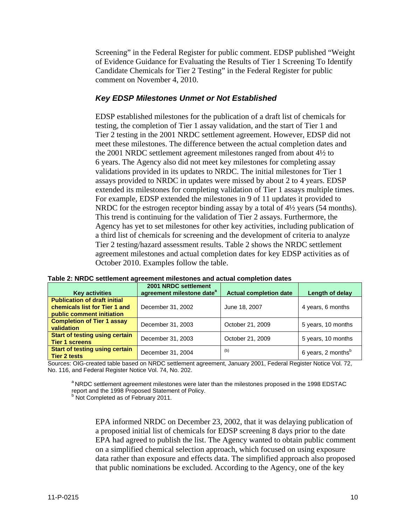Screening" in the Federal Register for public comment. EDSP published "Weight of Evidence Guidance for Evaluating the Results of Tier 1 Screening To Identify Candidate Chemicals for Tier 2 Testing" in the Federal Register for public comment on November 4, 2010.

#### *Key EDSP Milestones Unmet or Not Established*

EDSP established milestones for the publication of a draft list of chemicals for testing, the completion of Tier 1 assay validation, and the start of Tier 1 and Tier 2 testing in the 2001 NRDC settlement agreement. However, EDSP did not meet these milestones. The difference between the actual completion dates and the 2001 NRDC settlement agreement milestones ranged from about 4½ to 6 years. The Agency also did not meet key milestones for completing assay validations provided in its updates to NRDC. The initial milestones for Tier 1 assays provided to NRDC in updates were missed by about 2 to 4 years. EDSP extended its milestones for completing validation of Tier 1 assays multiple times. For example, EDSP extended the milestones in 9 of 11 updates it provided to NRDC for the estrogen receptor binding assay by a total of  $4\frac{1}{2}$  years (54 months). This trend is continuing for the validation of Tier 2 assays. Furthermore, the Agency has yet to set milestones for other key activities, including publication of a third list of chemicals for screening and the development of criteria to analyze Tier 2 testing/hazard assessment results. Table 2 shows the NRDC settlement agreement milestones and actual completion dates for key EDSP activities as of October 2010. Examples follow the table.

| <b>Key activities</b>                                                                             | 2001 NRDC settlement<br>agreement milestone date <sup>a</sup> | <b>Actual completion date</b> | Length of delay                |  |
|---------------------------------------------------------------------------------------------------|---------------------------------------------------------------|-------------------------------|--------------------------------|--|
| <b>Publication of draft initial</b><br>chemicals list for Tier 1 and<br>public comment initiation | December 31, 2002                                             | June 18, 2007                 | 4 years, 6 months              |  |
| <b>Completion of Tier 1 assay</b><br>validation                                                   | December 31, 2003                                             | October 21, 2009              | 5 years, 10 months             |  |
| <b>Start of testing using certain</b><br><b>Tier 1 screens</b>                                    | December 31, 2003                                             | October 21, 2009              | 5 years, 10 months             |  |
| <b>Start of testing using certain</b><br><b>Tier 2 tests</b>                                      | December 31, 2004                                             | (b)                           | 6 years, 2 months <sup>b</sup> |  |

**Table 2: NRDC settlement agreement milestones and actual completion dates** 

Sources: OIG-created table based on NRDC settlement agreement, January 2001, Federal Register Notice Vol. 72, No. 116, and Federal Register Notice Vol. 74, No. 202.

<sup>a</sup> NRDC settlement agreement milestones were later than the milestones proposed in the 1998 EDSTAC<br>report and the 1998 Proposed Statement of Policy.

 $b$  Not Completed as of February 2011.

EPA informed NRDC on December 23, 2002, that it was delaying publication of a proposed initial list of chemicals for EDSP screening 8 days prior to the date EPA had agreed to publish the list. The Agency wanted to obtain public comment on a simplified chemical selection approach, which focused on using exposure data rather than exposure and effects data. The simplified approach also proposed that public nominations be excluded. According to the Agency, one of the key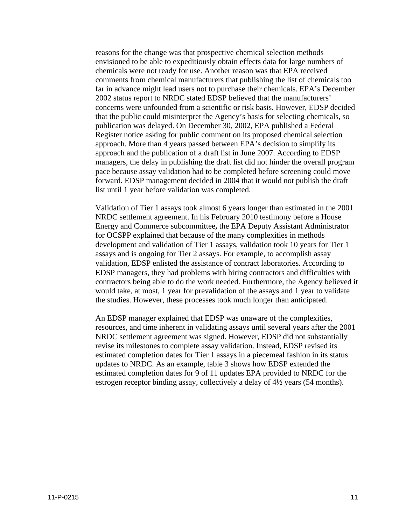reasons for the change was that prospective chemical selection methods envisioned to be able to expeditiously obtain effects data for large numbers of chemicals were not ready for use. Another reason was that EPA received comments from chemical manufacturers that publishing the list of chemicals too far in advance might lead users not to purchase their chemicals. EPA's December 2002 status report to NRDC stated EDSP believed that the manufacturers' concerns were unfounded from a scientific or risk basis. However, EDSP decided that the public could misinterpret the Agency's basis for selecting chemicals, so publication was delayed. On December 30, 2002, EPA published a Federal Register notice asking for public comment on its proposed chemical selection approach. More than 4 years passed between EPA's decision to simplify its approach and the publication of a draft list in June 2007. According to EDSP managers, the delay in publishing the draft list did not hinder the overall program pace because assay validation had to be completed before screening could move forward. EDSP management decided in 2004 that it would not publish the draft list until 1 year before validation was completed.

Validation of Tier 1 assays took almost 6 years longer than estimated in the 2001 NRDC settlement agreement. In his February 2010 testimony before a House Energy and Commerce subcommittee**,** the EPA Deputy Assistant Administrator for OCSPP explained that because of the many complexities in methods development and validation of Tier 1 assays, validation took 10 years for Tier 1 assays and is ongoing for Tier 2 assays. For example, to accomplish assay validation, EDSP enlisted the assistance of contract laboratories. According to EDSP managers, they had problems with hiring contractors and difficulties with contractors being able to do the work needed. Furthermore, the Agency believed it would take, at most, 1 year for prevalidation of the assays and 1 year to validate the studies. However, these processes took much longer than anticipated.

An EDSP manager explained that EDSP was unaware of the complexities, resources, and time inherent in validating assays until several years after the 2001 NRDC settlement agreement was signed. However, EDSP did not substantially revise its milestones to complete assay validation. Instead, EDSP revised its estimated completion dates for Tier 1 assays in a piecemeal fashion in its status updates to NRDC. As an example, table 3 shows how EDSP extended the estimated completion dates for 9 of 11 updates EPA provided to NRDC for the estrogen receptor binding assay, collectively a delay of 4½ years (54 months).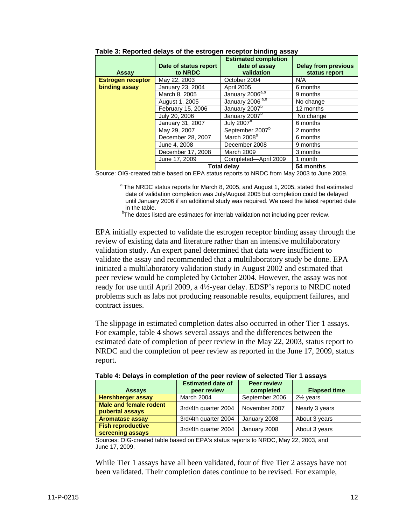| Table 3: Reported delays of the estrogen receptor binding assay |                                  |                                              |                                             |  |  |
|-----------------------------------------------------------------|----------------------------------|----------------------------------------------|---------------------------------------------|--|--|
|                                                                 |                                  | <b>Estimated completion</b><br>date of assay |                                             |  |  |
| Assay                                                           | Date of status report<br>to NRDC | validation                                   | <b>Delay from previous</b><br>status report |  |  |
| <b>Estrogen receptor</b>                                        | May 22, 2003                     | October 2004                                 | N/A                                         |  |  |
| binding assay                                                   | January 23, 2004                 | <b>April 2005</b>                            | 6 months                                    |  |  |
|                                                                 | March 8, 2005                    | January 2006 <sup>a,b</sup>                  | 9 months                                    |  |  |
|                                                                 | August 1, 2005                   | January 2006 <sup>a,b</sup>                  | No change                                   |  |  |
|                                                                 | February 15, 2006                | January 2007 <sup>b</sup>                    | 12 months                                   |  |  |
|                                                                 | July 20, 2006                    | January 2007 <sup>b</sup>                    | No change                                   |  |  |
|                                                                 | January 31, 2007                 | July 2007 <sup>b</sup>                       | 6 months                                    |  |  |
|                                                                 | May 29, 2007                     | September 2007 <sup>b</sup>                  | 2 months                                    |  |  |
|                                                                 | December 28, 2007                | March 2008 <sup>b</sup>                      | 6 months                                    |  |  |
|                                                                 | June 4, 2008                     | December 2008                                | 9 months                                    |  |  |
|                                                                 | December 17, 2008                | <b>March 2009</b>                            | 3 months                                    |  |  |
|                                                                 | June 17, 2009                    | Completed-April 2009                         | 1 month                                     |  |  |
|                                                                 |                                  | <b>Total delav</b>                           | 54 months                                   |  |  |

Source: OIG-created table based on EPA status reports to NRDC from May 2003 to June 2009.

<sup>a</sup> The NRDC status reports for March 8, 2005, and August 1, 2005, stated that estimated date of validation completion was July/August 2005 but completion could be delayed until January 2006 if an additional study was required. We used the latest reported date in the table.

<sup>b</sup>The dates listed are estimates for interlab validation not including peer review.

EPA initially expected to validate the estrogen receptor binding assay through the review of existing data and literature rather than an intensive multilaboratory validation study. An expert panel determined that data were insufficient to validate the assay and recommended that a multilaboratory study be done. EPA initiated a multilaboratory validation study in August 2002 and estimated that peer review would be completed by October 2004. However, the assay was not ready for use until April 2009, a 4½-year delay. EDSP's reports to NRDC noted problems such as labs not producing reasonable results, equipment failures, and contract issues.

The slippage in estimated completion dates also occurred in other Tier 1 assays. For example, table 4 shows several assays and the differences between the estimated date of completion of peer review in the May 22, 2003, status report to NRDC and the completion of peer review as reported in the June 17, 2009, status report.

| Table 4: Delays in completion of the peer review of selected Tier 1 assays |                      |                |                      |  |  |
|----------------------------------------------------------------------------|----------------------|----------------|----------------------|--|--|
|                                                                            | <b>Elapsed time</b>  |                |                      |  |  |
| <b>Assays</b>                                                              | peer review          | completed      |                      |  |  |
| <b>Hershberger assay</b>                                                   | March 2004           | September 2006 | $2\frac{1}{2}$ years |  |  |
| <b>Male and female rodent</b><br>pubertal assays                           | 3rd/4th quarter 2004 | November 2007  | Nearly 3 years       |  |  |
| <b>Aromatase assay</b>                                                     | 3rd/4th quarter 2004 | January 2008   | About 3 years        |  |  |
| <b>Fish reproductive</b><br>screening assays                               | 3rd/4th quarter 2004 | January 2008   | About 3 years        |  |  |

Sources: OIG-created table based on EPA's status reports to NRDC, May 22, 2003, and June 17, 2009.

While Tier 1 assays have all been validated, four of five Tier 2 assays have not been validated. Their completion dates continue to be revised. For example,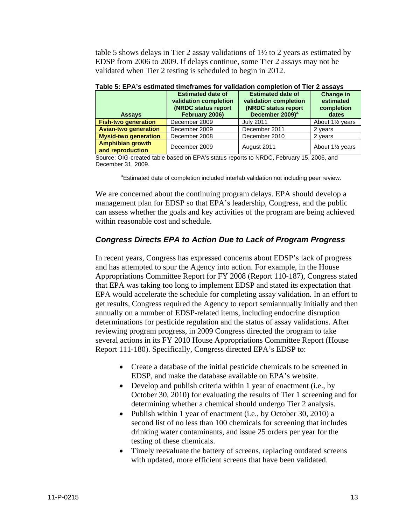table 5 shows delays in Tier 2 assay validations of 1½ to 2 years as estimated by EDSP from 2006 to 2009. If delays continue, some Tier 2 assays may not be validated when Tier 2 testing is scheduled to begin in 2012.

| <b>Assays</b>                        | <b>Estimated date of</b><br>validation completion<br>(NRDC status report<br>February 2006) | <b>Estimated date of</b><br>validation completion<br><b>(NRDC status report</b><br>December 2009) <sup>a</sup> | <b>Change in</b><br>estimated<br>completion<br>dates |  |
|--------------------------------------|--------------------------------------------------------------------------------------------|----------------------------------------------------------------------------------------------------------------|------------------------------------------------------|--|
| <b>Fish-two generation</b>           | December 2009                                                                              | <b>July 2011</b>                                                                                               | About 1 <sup>1/2</sup> years                         |  |
| <b>Avian-two generation</b>          | December 2009                                                                              | December 2011                                                                                                  | 2 years                                              |  |
| <b>Mysid-two generation</b>          | December 2008                                                                              | December 2010                                                                                                  | 2 years                                              |  |
| Amphibian growth<br>and reproduction | December 2009                                                                              | August 2011                                                                                                    | About 1 <sup>1/2</sup> years                         |  |

| Table 5: EPA's estimated timeframes for validation completion of Tier 2 assays |  |
|--------------------------------------------------------------------------------|--|
|--------------------------------------------------------------------------------|--|

Source: OIG-created table based on EPA's status reports to NRDC, February 15, 2006, and December 31, 2009.

<sup>a</sup>Estimated date of completion included interlab validation not including peer review.

We are concerned about the continuing program delays. EPA should develop a management plan for EDSP so that EPA's leadership, Congress, and the public can assess whether the goals and key activities of the program are being achieved within reasonable cost and schedule.

#### *Congress Directs EPA to Action Due to Lack of Program Progress*

In recent years, Congress has expressed concerns about EDSP's lack of progress and has attempted to spur the Agency into action. For example, in the House Appropriations Committee Report for FY 2008 (Report 110-187), Congress stated that EPA was taking too long to implement EDSP and stated its expectation that EPA would accelerate the schedule for completing assay validation. In an effort to get results, Congress required the Agency to report semiannually initially and then annually on a number of EDSP-related items, including endocrine disruption determinations for pesticide regulation and the status of assay validations. After reviewing program progress, in 2009 Congress directed the program to take several actions in its FY 2010 House Appropriations Committee Report (House Report 111-180). Specifically, Congress directed EPA's EDSP to:

- Create a database of the initial pesticide chemicals to be screened in EDSP, and make the database available on EPA's website.
- Develop and publish criteria within 1 year of enactment (i.e., by October 30, 2010) for evaluating the results of Tier 1 screening and for determining whether a chemical should undergo Tier 2 analysis.
- Publish within 1 year of enactment (i.e., by October 30, 2010) a second list of no less than 100 chemicals for screening that includes drinking water contaminants, and issue 25 orders per year for the testing of these chemicals.
- Timely reevaluate the battery of screens, replacing outdated screens with updated, more efficient screens that have been validated.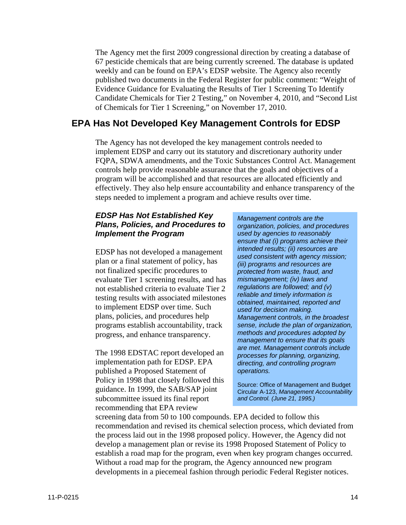The Agency met the first 2009 congressional direction by creating a database of 67 pesticide chemicals that are being currently screened. The database is updated weekly and can be found on EPA's EDSP website. The Agency also recently published two documents in the Federal Register for public comment: "Weight of Evidence Guidance for Evaluating the Results of Tier 1 Screening To Identify Candidate Chemicals for Tier 2 Testing," on November 4, 2010, and "Second List of Chemicals for Tier 1 Screening," on November 17, 2010.

#### **EPA Has Not Developed Key Management Controls for EDSP**

The Agency has not developed the key management controls needed to implement EDSP and carry out its statutory and discretionary authority under FQPA, SDWA amendments, and the Toxic Substances Control Act. Management controls help provide reasonable assurance that the goals and objectives of a program will be accomplished and that resources are allocated efficiently and effectively. They also help ensure accountability and enhance transparency of the steps needed to implement a program and achieve results over time.

#### *EDSP Has Not Established Key Plans, Policies, and Procedures to Implement the Program*

EDSP has not developed a management plan or a final statement of policy, has not finalized specific procedures to evaluate Tier 1 screening results, and has not established criteria to evaluate Tier 2 testing results with associated milestones to implement EDSP over time. Such plans, policies, and procedures help programs establish accountability, track progress, and enhance transparency.

The 1998 EDSTAC report developed an implementation path for EDSP. EPA published a Proposed Statement of Policy in 1998 that closely followed this guidance. In 1999, the SAB/SAP joint subcommittee issued its final report recommending that EPA review

*Management controls are the organization, policies, and procedures used by agencies to reasonably ensure that (i) programs achieve their intended results; (ii) resources are used consistent with agency mission; (iii) programs and resources are protected from waste, fraud, and mismanagement; (iv) laws and regulations are followed; and (v) reliable and timely information is obtained, maintained, reported and used for decision making. Management controls, in the broadest sense, include the plan of organization, methods and procedures adopted by management to ensure that its goals are met. Management controls include processes for planning, organizing, directing, and controlling program operations.* 

Source: Office of Management and Budget Circular A-123, *Management Accountability and Control. (June 21, 1995.)* 

screening data from 50 to 100 compounds. EPA decided to follow this recommendation and revised its chemical selection process, which deviated from the process laid out in the 1998 proposed policy. However, the Agency did not develop a management plan or revise its 1998 Proposed Statement of Policy to establish a road map for the program, even when key program changes occurred. Without a road map for the program, the Agency announced new program developments in a piecemeal fashion through periodic Federal Register notices.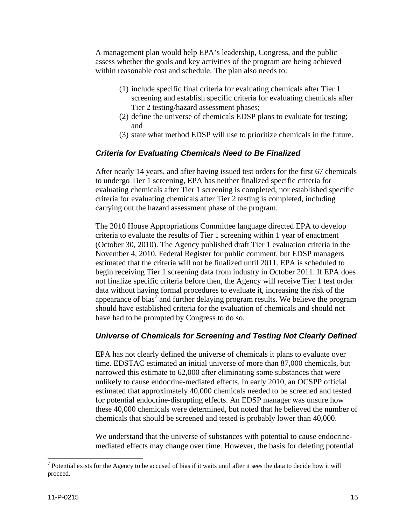A management plan would help EPA's leadership, Congress, and the public assess whether the goals and key activities of the program are being achieved within reasonable cost and schedule. The plan also needs to:

- (1) include specific final criteria for evaluating chemicals after Tier 1 screening and establish specific criteria for evaluating chemicals after Tier 2 testing/hazard assessment phases;
- (2) define the universe of chemicals EDSP plans to evaluate for testing; and
- (3) state what method EDSP will use to prioritize chemicals in the future.

#### *Criteria for Evaluating Chemicals Need to Be Finalized*

After nearly 14 years, and after having issued test orders for the first 67 chemicals to undergo Tier 1 screening, EPA has neither finalized specific criteria for evaluating chemicals after Tier 1 screening is completed, nor established specific criteria for evaluating chemicals after Tier 2 testing is completed, including carrying out the hazard assessment phase of the program.

The 2010 House Appropriations Committee language directed EPA to develop criteria to evaluate the results of Tier 1 screening within 1 year of enactment (October 30, 2010). The Agency published draft Tier 1 evaluation criteria in the November 4, 2010, Federal Register for public comment, but EDSP managers estimated that the criteria will not be finalized until 2011. EPA is scheduled to begin receiving Tier 1 screening data from industry in October 2011. If EPA does not finalize specific criteria before then, the Agency will receive Tier 1 test order data without having formal procedures to evaluate it, increasing the risk of the appearance of bias<sup>7</sup> and further delaying program results. We believe the program should have established criteria for the evaluation of chemicals and should not have had to be prompted by Congress to do so.

#### *Universe of Chemicals for Screening and Testing Not Clearly Defined*

EPA has not clearly defined the universe of chemicals it plans to evaluate over time. EDSTAC estimated an initial universe of more than 87,000 chemicals, but narrowed this estimate to 62,000 after eliminating some substances that were unlikely to cause endocrine-mediated effects. In early 2010, an OCSPP official estimated that approximately 40,000 chemicals needed to be screened and tested for potential endocrine-disrupting effects. An EDSP manager was unsure how these 40,000 chemicals were determined, but noted that he believed the number of chemicals that should be screened and tested is probably lower than 40,000.

We understand that the universe of substances with potential to cause endocrinemediated effects may change over time. However, the basis for deleting potential

 $\overline{a}$ 

 $<sup>7</sup>$  Potential exists for the Agency to be accused of bias if it waits until after it sees the data to decide how it will</sup> proceed.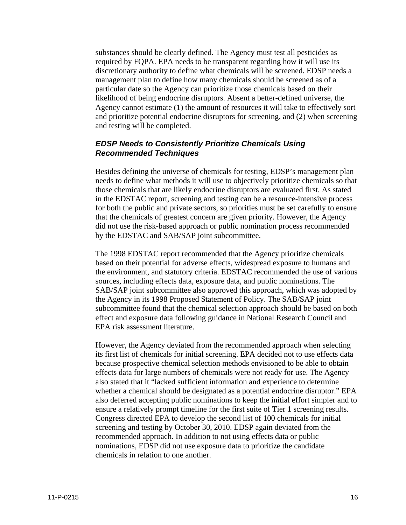substances should be clearly defined. The Agency must test all pesticides as required by FQPA. EPA needs to be transparent regarding how it will use its discretionary authority to define what chemicals will be screened. EDSP needs a management plan to define how many chemicals should be screened as of a particular date so the Agency can prioritize those chemicals based on their likelihood of being endocrine disruptors. Absent a better-defined universe, the Agency cannot estimate (1) the amount of resources it will take to effectively sort and prioritize potential endocrine disruptors for screening, and (2) when screening and testing will be completed.

#### *EDSP Needs to Consistently Prioritize Chemicals Using Recommended Techniques*

Besides defining the universe of chemicals for testing, EDSP's management plan needs to define what methods it will use to objectively prioritize chemicals so that those chemicals that are likely endocrine disruptors are evaluated first. As stated in the EDSTAC report, screening and testing can be a resource-intensive process for both the public and private sectors, so priorities must be set carefully to ensure that the chemicals of greatest concern are given priority. However, the Agency did not use the risk-based approach or public nomination process recommended by the EDSTAC and SAB/SAP joint subcommittee.

The 1998 EDSTAC report recommended that the Agency prioritize chemicals based on their potential for adverse effects, widespread exposure to humans and the environment, and statutory criteria. EDSTAC recommended the use of various sources, including effects data, exposure data, and public nominations. The SAB/SAP joint subcommittee also approved this approach, which was adopted by the Agency in its 1998 Proposed Statement of Policy. The SAB/SAP joint subcommittee found that the chemical selection approach should be based on both effect and exposure data following guidance in National Research Council and EPA risk assessment literature.

However, the Agency deviated from the recommended approach when selecting its first list of chemicals for initial screening. EPA decided not to use effects data because prospective chemical selection methods envisioned to be able to obtain effects data for large numbers of chemicals were not ready for use. The Agency also stated that it "lacked sufficient information and experience to determine whether a chemical should be designated as a potential endocrine disruptor." EPA also deferred accepting public nominations to keep the initial effort simpler and to ensure a relatively prompt timeline for the first suite of Tier 1 screening results. Congress directed EPA to develop the second list of 100 chemicals for initial screening and testing by October 30, 2010. EDSP again deviated from the recommended approach. In addition to not using effects data or public nominations, EDSP did not use exposure data to prioritize the candidate chemicals in relation to one another.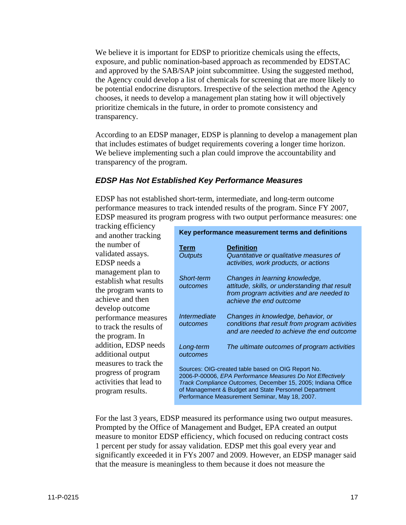transparency. We believe it is important for EDSP to prioritize chemicals using the effects, exposure, and public nomination-based approach as recommended by EDSTAC and approved by the SAB/SAP joint subcommittee. Using the suggested method, the Agency could develop a list of chemicals for screening that are more likely to be potential endocrine disruptors. Irrespective of the selection method the Agency chooses, it needs to develop a management plan stating how it will objectively prioritize chemicals in the future, in order to promote consistency and

According to an EDSP manager, EDSP is planning to develop a management plan that includes estimates of budget requirements covering a longer time horizon. We believe implementing such a plan could improve the accountability and transparency of the program.

#### *EDSP Has Not Established Key Performance Measures*

EDSP has not established short-term, intermediate, and long-term outcome performance measures to track intended results of the program. Since FY 2007, EDSP measured its program progress with two output performance measures: one

| tracking efficiency                                                                         |                                                   |                                                                                                                                                                                                                                                                                            |  |  |
|---------------------------------------------------------------------------------------------|---------------------------------------------------|--------------------------------------------------------------------------------------------------------------------------------------------------------------------------------------------------------------------------------------------------------------------------------------------|--|--|
| and another tracking                                                                        | Key performance measurement terms and definitions |                                                                                                                                                                                                                                                                                            |  |  |
| the number of<br>validated assays.<br>EDSP needs a                                          | <u>Term</u><br><b>Outputs</b>                     | <b>Definition</b><br>Quantitative or qualitative measures of<br>activities, work products, or actions                                                                                                                                                                                      |  |  |
| management plan to<br>establish what results<br>the program wants to<br>achieve and then    | <b>Short-term</b><br>outcomes                     | Changes in learning knowledge,<br>attitude, skills, or understanding that result<br>from program activities and are needed to<br>achieve the end outcome                                                                                                                                   |  |  |
| develop outcome<br>performance measures<br>to track the results of<br>the program. In       | Intermediate<br>outcomes                          | Changes in knowledge, behavior, or<br>conditions that result from program activities<br>and are needed to achieve the end outcome                                                                                                                                                          |  |  |
| addition, EDSP needs<br>additional output                                                   | Long-term<br>outcomes                             | The ultimate outcomes of program activities                                                                                                                                                                                                                                                |  |  |
| measures to track the<br>progress of program<br>activities that lead to<br>program results. |                                                   | Sources: OIG-created table based on OIG Report No.<br>2006-P-00006, EPA Performance Measures Do Not Effectively<br>Track Compliance Outcomes, December 15, 2005; Indiana Office<br>of Management & Budget and State Personnel Department<br>Performance Measurement Seminar, May 18, 2007. |  |  |

For the last 3 years, EDSP measured its performance using two output measures. Prompted by the Office of Management and Budget, EPA created an output measure to monitor EDSP efficiency, which focused on reducing contract costs 1 percent per study for assay validation. EDSP met this goal every year and significantly exceeded it in FYs 2007 and 2009. However, an EDSP manager said that the measure is meaningless to them because it does not measure the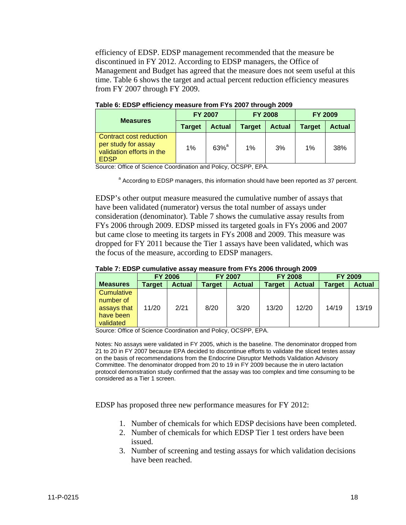efficiency of EDSP. EDSP management recommended that the measure be discontinued in FY 2012. According to EDSP managers, the Office of Management and Budget has agreed that the measure does not seem useful at this time. Table 6 shows the target and actual percent reduction efficiency measures from FY 2007 through FY 2009.

| <b>Measures</b>                                                                            | <b>FY 2007</b> |                    | <b>FY 2008</b> |               | <b>FY 2009</b> |               |
|--------------------------------------------------------------------------------------------|----------------|--------------------|----------------|---------------|----------------|---------------|
|                                                                                            | <b>Target</b>  | <b>Actual</b>      | <b>Target</b>  | <b>Actual</b> | <b>Target</b>  | <b>Actual</b> |
| Contract cost reduction<br>per study for assay<br>validation efforts in the<br><b>EDSP</b> | 1%             | $63%$ <sup>a</sup> | 1%             | 3%            | 1%             | 38%           |

**Table 6: EDSP efficiency measure from FYs 2007 through 2009** 

Source: Office of Science Coordination and Policy, OCSPP, EPA.

<sup>a</sup> According to EDSP managers, this information should have been reported as 37 percent.

EDSP's other output measure measured the cumulative number of assays that have been validated (numerator) versus the total number of assays under consideration (denominator). Table 7 shows the cumulative assay results from FYs 2006 through 2009. EDSP missed its targeted goals in FYs 2006 and 2007 but came close to meeting its targets in FYs 2008 and 2009. This measure was dropped for FY 2011 because the Tier 1 assays have been validated, which was the focus of the measure, according to EDSP managers.

|  |  | Table 7: EDSP cumulative assay measure from FYs 2006 through 2009 |  |
|--|--|-------------------------------------------------------------------|--|
|  |  |                                                                   |  |

|                 | <b>FY 2006</b> |               | <b>FY 2007</b> |               | <b>FY 2008</b> |               | <b>FY 2009</b> |               |
|-----------------|----------------|---------------|----------------|---------------|----------------|---------------|----------------|---------------|
| <b>Measures</b> | <b>Target</b>  | <b>Actual</b> | Target         | <b>Actual</b> | <b>Target</b>  | <b>Actual</b> | <b>Target</b>  | <b>Actual</b> |
| Cumulative      |                |               |                |               |                |               |                |               |
| number of       |                |               |                |               |                |               |                |               |
| assays that     | 11/20          | 2/21          | 8/20           | 3/20          | 13/20          | 12/20         | 14/19          | 13/19         |
| have been       |                |               |                |               |                |               |                |               |
| validated       |                |               |                |               |                |               |                |               |

Source: Office of Science Coordination and Policy, OCSPP, EPA.

Notes: No assays were validated in FY 2005, which is the baseline. The denominator dropped from 21 to 20 in FY 2007 because EPA decided to discontinue efforts to validate the sliced testes assay on the basis of recommendations from the Endocrine Disruptor Methods Validation Advisory Committee. The denominator dropped from 20 to 19 in FY 2009 because the in utero lactation protocol demonstration study confirmed that the assay was too complex and time consuming to be considered as a Tier 1 screen.

EDSP has proposed three new performance measures for FY 2012:

- 1. Number of chemicals for which EDSP decisions have been completed.
- 2. Number of chemicals for which EDSP Tier 1 test orders have been issued.
- 3. Number of screening and testing assays for which validation decisions have been reached.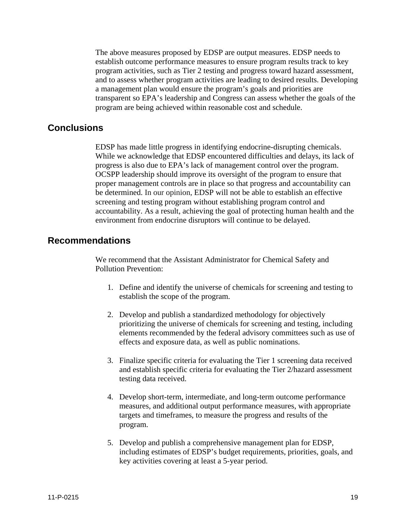The above measures proposed by EDSP are output measures. EDSP needs to establish outcome performance measures to ensure program results track to key program activities, such as Tier 2 testing and progress toward hazard assessment, and to assess whether program activities are leading to desired results. Developing a management plan would ensure the program's goals and priorities are transparent so EPA's leadership and Congress can assess whether the goals of the program are being achieved within reasonable cost and schedule.

#### **Conclusions**

EDSP has made little progress in identifying endocrine-disrupting chemicals. While we acknowledge that EDSP encountered difficulties and delays, its lack of progress is also due to EPA's lack of management control over the program. OCSPP leadership should improve its oversight of the program to ensure that proper management controls are in place so that progress and accountability can be determined. In our opinion, EDSP will not be able to establish an effective screening and testing program without establishing program control and accountability. As a result, achieving the goal of protecting human health and the environment from endocrine disruptors will continue to be delayed.

#### **Recommendations**

**Pollution Prevention:** We recommend that the Assistant Administrator for Chemical Safety and

- 1. Define and identify the universe of chemicals for screening and testing to establish the scope of the program.
- 2. Develop and publish a standardized methodology for objectively prioritizing the universe of chemicals for screening and testing, including elements recommended by the federal advisory committees such as use of effects and exposure data, as well as public nominations.
- 3. Finalize specific criteria for evaluating the Tier 1 screening data received and establish specific criteria for evaluating the Tier 2/hazard assessment testing data received.
- 4. Develop short-term, intermediate, and long-term outcome performance measures, and additional output performance measures, with appropriate targets and timeframes, to measure the progress and results of the program.
- 5. Develop and publish a comprehensive management plan for EDSP, including estimates of EDSP's budget requirements, priorities, goals, and key activities covering at least a 5-year period.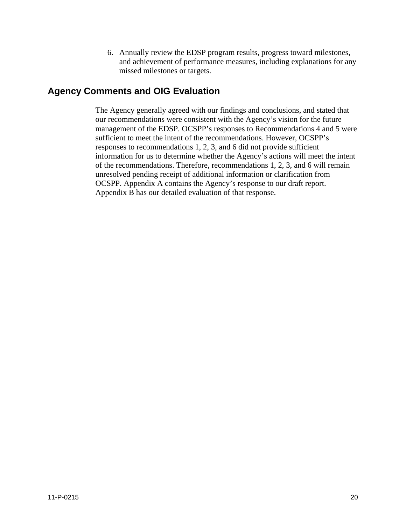6. Annually review the EDSP program results, progress toward milestones, and achievement of performance measures, including explanations for any missed milestones or targets.

#### **Agency Comments and OIG Evaluation**

The Agency generally agreed with our findings and conclusions, and stated that our recommendations were consistent with the Agency's vision for the future management of the EDSP. OCSPP's responses to Recommendations 4 and 5 were sufficient to meet the intent of the recommendations. However, OCSPP's responses to recommendations 1, 2, 3, and 6 did not provide sufficient information for us to determine whether the Agency's actions will meet the intent of the recommendations. Therefore, recommendations 1, 2, 3, and 6 will remain unresolved pending receipt of additional information or clarification from OCSPP. Appendix A contains the Agency's response to our draft report. Appendix B has our detailed evaluation of that response.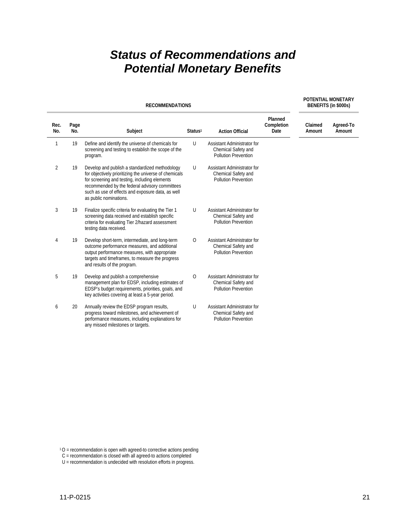## *Status of Recommendations and Potential Monetary Benefits*

| <b>RECOMMENDATIONS</b> |             |                                                                                                                                                                                                                                                                                            |                     |                                                                                   | BENEFITS (in \$000s)          |                   |                     |
|------------------------|-------------|--------------------------------------------------------------------------------------------------------------------------------------------------------------------------------------------------------------------------------------------------------------------------------------------|---------------------|-----------------------------------------------------------------------------------|-------------------------------|-------------------|---------------------|
| Rec.<br>No.            | Page<br>No. | Subject                                                                                                                                                                                                                                                                                    | Status <sup>1</sup> | <b>Action Official</b>                                                            | Planned<br>Completion<br>Date | Claimed<br>Amount | Agreed-To<br>Amount |
| $\mathbf{1}$           | 19          | Define and identify the universe of chemicals for<br>screening and testing to establish the scope of the<br>program.                                                                                                                                                                       | U                   | Assistant Administrator for<br>Chemical Safety and<br><b>Pollution Prevention</b> |                               |                   |                     |
| $\overline{2}$         | 19          | Develop and publish a standardized methodology<br>for objectively prioritizing the universe of chemicals<br>for screening and testing, including elements<br>recommended by the federal advisory committees<br>such as use of effects and exposure data, as well<br>as public nominations. | U                   | Assistant Administrator for<br>Chemical Safety and<br><b>Pollution Prevention</b> |                               |                   |                     |
| 3                      | 19          | Finalize specific criteria for evaluating the Tier 1<br>screening data received and establish specific<br>criteria for evaluating Tier 2/hazard assessment<br>testing data received.                                                                                                       | U                   | Assistant Administrator for<br>Chemical Safety and<br>Pollution Prevention        |                               |                   |                     |
| 4                      | 19          | Develop short-term, intermediate, and long-term<br>outcome performance measures, and additional<br>output performance measures, with appropriate<br>targets and timeframes, to measure the progress<br>and results of the program.                                                         | $\circ$             | Assistant Administrator for<br>Chemical Safety and<br>Pollution Prevention        |                               |                   |                     |
| 5                      | 19          | Develop and publish a comprehensive<br>management plan for EDSP, including estimates of<br>EDSP's budget requirements, priorities, goals, and<br>key activities covering at least a 5-year period.                                                                                         | $\circ$             | Assistant Administrator for<br>Chemical Safety and<br>Pollution Prevention        |                               |                   |                     |
| 6                      | 20          | Annually review the EDSP program results,<br>progress toward milestones, and achievement of<br>performance measures, including explanations for<br>any missed milestones or targets.                                                                                                       | U                   | Assistant Administrator for<br>Chemical Safety and<br><b>Pollution Prevention</b> |                               |                   |                     |

 $10$  = recommendation is open with agreed-to corrective actions pending

- C = recommendation is closed with all agreed-to actions completed
- U = recommendation is undecided with resolution efforts in progress.

**POTENTIAL MONETARY**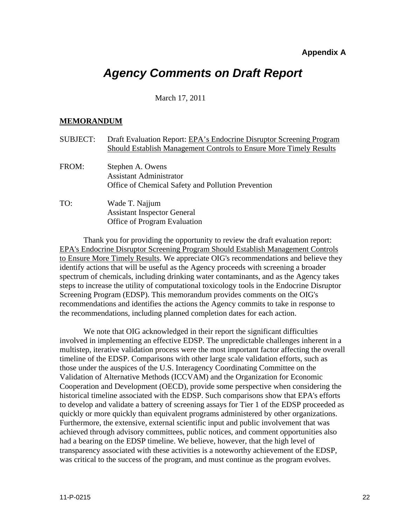#### **Appendix A**

### *Agency Comments on Draft Report*

#### March 17, 2011

#### **MEMORANDUM**

| <b>SUBJECT:</b> | Draft Evaluation Report: EPA's Endocrine Disruptor Screening Program<br>Should Establish Management Controls to Ensure More Timely Results |
|-----------------|--------------------------------------------------------------------------------------------------------------------------------------------|
| FROM:           | Stephen A. Owens<br><b>Assistant Administrator</b><br>Office of Chemical Safety and Pollution Prevention                                   |
| TO:             | Wade T. Najjum<br><b>Assistant Inspector General</b><br>Office of Program Evaluation                                                       |

the recommendations, including planned completion dates for each action. Thank you for providing the opportunity to review the draft evaluation report: EPA's Endocrine Disruptor Screening Program Should Establish Management Controls to Ensure More Timely Results. We appreciate OIG's recommendations and believe they identify actions that will be useful as the Agency proceeds with screening a broader spectrum of chemicals, including drinking water contaminants, and as the Agency takes steps to increase the utility of computational toxicology tools in the Endocrine Disruptor Screening Program (EDSP). This memorandum provides comments on the OIG's recommendations and identifies the actions the Agency commits to take in response to

We note that OIG acknowledged in their report the significant difficulties involved in implementing an effective EDSP. The unpredictable challenges inherent in a multistep, iterative validation process were the most important factor affecting the overall timeline of the EDSP. Comparisons with other large scale validation efforts, such as those under the auspices of the U.S. Interagency Coordinating Committee on the Validation of Alternative Methods (ICCVAM) and the Organization for Economic Cooperation and Development (OECD), provide some perspective when considering the historical timeline associated with the EDSP. Such comparisons show that EPA's efforts to develop and validate a battery of screening assays for Tier 1 of the EDSP proceeded as quickly or more quickly than equivalent programs administered by other organizations. Furthermore, the extensive, external scientific input and public involvement that was achieved through advisory committees, public notices, and comment opportunities also had a bearing on the EDSP timeline. We believe, however, that the high level of transparency associated with these activities is a noteworthy achievement of the EDSP, was critical to the success of the program, and must continue as the program evolves.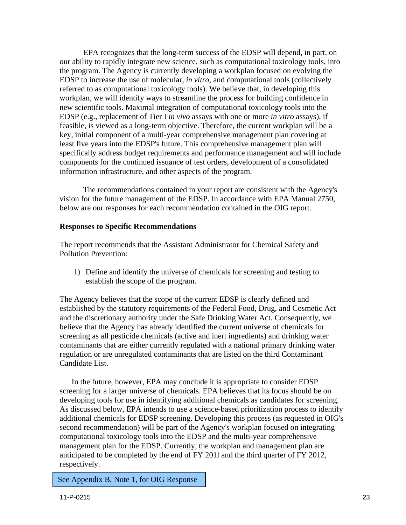EPA recognizes that the long-term success of the EDSP will depend, in part, on our ability to rapidly integrate new science, such as computational toxicology tools, into the program. The Agency is currently developing a workplan focused on evolving the EDSP to increase the use of molecular, *in vitro,* and computational tools (collectively referred to as computational toxicology tools). We believe that, in developing this workplan, we will identify ways to streamline the process for building confidence in new scientific tools. Maximal integration of computational toxicology tools into the EDSP (e.g., replacement of Tier I *in vivo* assays with one or more *in vitro* assays), if feasible, is viewed as a long-term objective. Therefore, the current workplan will be a key, initial component of a multi-year comprehensive management plan covering at least five years into the EDSP's future. This comprehensive management plan will specifically address budget requirements and performance management and will include components for the continued issuance of test orders, development of a consolidated information infrastructure, and other aspects of the program.

The recommendations contained in your report are consistent with the Agency's vision for the future management of the EDSP. In accordance with EPA Manual 2750, below are our responses for each recommendation contained in the OIG report.

#### **Responses to Specific Recommendations**

**Pollution Prevention:** The report recommends that the Assistant Administrator for Chemical Safety and

1) Define and identify the universe of chemicals for screening and testing to establish the scope of the program.

The Agency believes that the scope of the current EDSP is clearly defined and established by the statutory requirements of the Federal Food, Drug, and Cosmetic Act and the discretionary authority under the Safe Drinking Water Act. Consequently, we believe that the Agency has already identified the current universe of chemicals for screening as all pesticide chemicals (active and inert ingredients) and drinking water contaminants that are either currently regulated with a national primary drinking water regulation or are unregulated contaminants that are listed on the third Contaminant Candidate List.

In the future, however, EPA may conclude it is appropriate to consider EDSP screening for a larger universe of chemicals. EPA believes that its focus should be on developing tools for use in identifying additional chemicals as candidates for screening. As discussed below, EPA intends to use a science-based prioritization process to identify additional chemicals for EDSP screening. Developing this process (as requested in OIG's second recommendation) will be part of the Agency's workplan focused on integrating computational toxicology tools into the EDSP and the multi-year comprehensive management plan for the EDSP. Currently, the workplan and management plan are anticipated to be completed by the end of FY 201l and the third quarter of FY 2012, respectively.

See Appendix B, Note 1, for OIG Response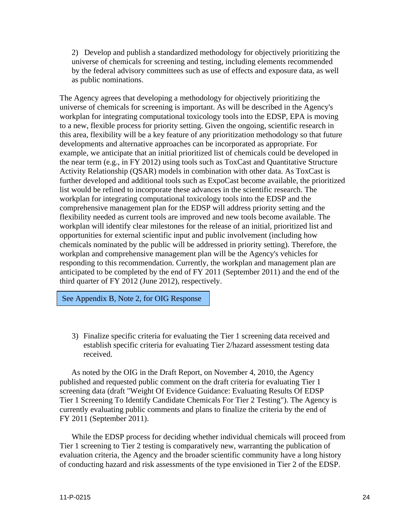2) Develop and publish a standardized methodology for objectively prioritizing the universe of chemicals for screening and testing, including elements recommended by the federal advisory committees such as use of effects and exposure data, as well as public nominations.

The Agency agrees that developing a methodology for objectively prioritizing the universe of chemicals for screening is important. As will be described in the Agency's workplan for integrating computational toxicology tools into the EDSP, EPA is moving to a new, flexible process for priority setting. Given the ongoing, scientific research in this area, flexibility will be a key feature of any prioritization methodology so that future developments and alternative approaches can be incorporated as appropriate. For example, we anticipate that an initial prioritized list of chemicals could be developed in the near term (e.g., in FY 2012) using tools such as ToxCast and Quantitative Structure Activity Relationship (QSAR) models in combination with other data. As ToxCast is further developed and additional tools such as ExpoCast become available, the prioritized list would be refined to incorporate these advances in the scientific research. The workplan for integrating computational toxicology tools into the EDSP and the comprehensive management plan for the EDSP will address priority setting and the flexibility needed as current tools are improved and new tools become available. The workplan will identify clear milestones for the release of an initial, prioritized list and opportunities for external scientific input and public involvement (including how chemicals nominated by the public will be addressed in priority setting). Therefore, the workplan and comprehensive management plan will be the Agency's vehicles for responding to this recommendation. Currently, the workplan and management plan are anticipated to be completed by the end of FY 2011 (September 2011) and the end of the third quarter of FY 2012 (June 2012), respectively.

See Appendix B, Note 2, for OIG Response

3) Finalize specific criteria for evaluating the Tier 1 screening data received and establish specific criteria for evaluating Tier 2/hazard assessment testing data received.

As noted by the OIG in the Draft Report, on November 4, 2010, the Agency published and requested public comment on the draft criteria for evaluating Tier 1 screening data (draft "Weight Of Evidence Guidance: Evaluating Results Of EDSP Tier 1 Screening To Identify Candidate Chemicals For Tier 2 Testing"). The Agency is currently evaluating public comments and plans to finalize the criteria by the end of FY 2011 (September 2011).

While the EDSP process for deciding whether individual chemicals will proceed from Tier 1 screening to Tier 2 testing is comparatively new, warranting the publication of evaluation criteria, the Agency and the broader scientific community have a long history of conducting hazard and risk assessments of the type envisioned in Tier 2 of the EDSP.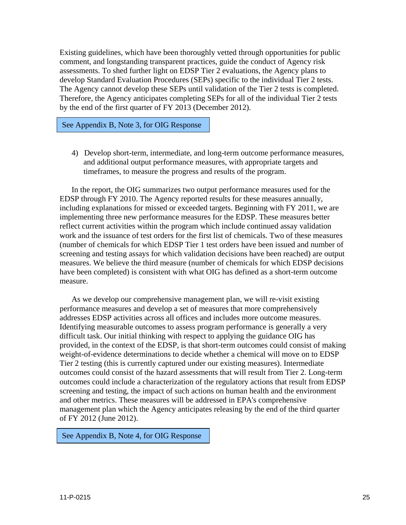Existing guidelines, which have been thoroughly vetted through opportunities for public comment, and longstanding transparent practices, guide the conduct of Agency risk assessments. To shed further light on EDSP Tier 2 evaluations, the Agency plans to develop Standard Evaluation Procedures (SEPs) specific to the individual Tier 2 tests. The Agency cannot develop these SEPs until validation of the Tier 2 tests is completed. Therefore, the Agency anticipates completing SEPs for all of the individual Tier 2 tests by the end of the first quarter of FY 2013 (December 2012).

See Appendix B, Note 3, for OIG Response

4) Develop short-term, intermediate, and long-term outcome performance measures, and additional output performance measures, with appropriate targets and timeframes, to measure the progress and results of the program.

In the report, the OIG summarizes two output performance measures used for the EDSP through FY 2010. The Agency reported results for these measures annually, including explanations for missed or exceeded targets. Beginning with FY 2011, we are implementing three new performance measures for the EDSP. These measures better reflect current activities within the program which include continued assay validation work and the issuance of test orders for the first list of chemicals. Two of these measures (number of chemicals for which EDSP Tier 1 test orders have been issued and number of screening and testing assays for which validation decisions have been reached) are output measures. We believe the third measure (number of chemicals for which EDSP decisions have been completed) is consistent with what OIG has defined as a short-term outcome measure.

As we develop our comprehensive management plan, we will re-visit existing performance measures and develop a set of measures that more comprehensively addresses EDSP activities across all offices and includes more outcome measures. Identifying measurable outcomes to assess program performance is generally a very difficult task. Our initial thinking with respect to applying the guidance OIG has provided, in the context of the EDSP, is that short-term outcomes could consist of making weight-of-evidence determinations to decide whether a chemical will move on to EDSP Tier 2 testing (this is currently captured under our existing measures). Intermediate outcomes could consist of the hazard assessments that will result from Tier 2. Long-term outcomes could include a characterization of the regulatory actions that result from EDSP screening and testing, the impact of such actions on human health and the environment and other metrics. These measures will be addressed in EPA's comprehensive management plan which the Agency anticipates releasing by the end of the third quarter of FY 2012 (June 2012).

See Appendix B, Note 4, for OIG Response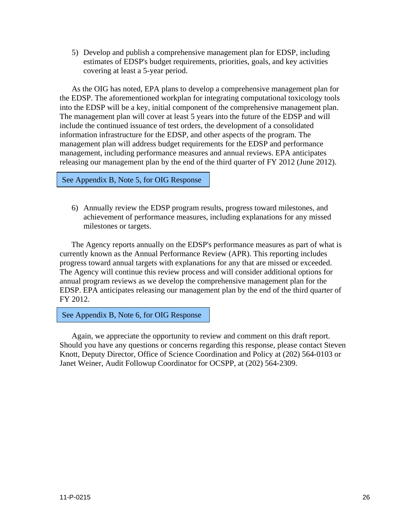5) Develop and publish a comprehensive management plan for EDSP, including estimates of EDSP's budget requirements, priorities, goals, and key activities covering at least a 5-year period.

As the OIG has noted, EPA plans to develop a comprehensive management plan for the EDSP. The aforementioned workplan for integrating computational toxicology tools into the EDSP will be a key, initial component of the comprehensive management plan. The management plan will cover at least 5 years into the future of the EDSP and will include the continued issuance of test orders, the development of a consolidated information infrastructure for the EDSP, and other aspects of the program. The management plan will address budget requirements for the EDSP and performance management, including performance measures and annual reviews. EPA anticipates releasing our management plan by the end of the third quarter of FY 2012 (June 2012).

See Appendix B, Note 5, for OIG Response

6) Annually review the EDSP program results, progress toward milestones, and achievement of performance measures, including explanations for any missed milestones or targets.

The Agency reports annually on the EDSP's performance measures as part of what is currently known as the Annual Performance Review (APR). This reporting includes progress toward annual targets with explanations for any that are missed or exceeded. The Agency will continue this review process and will consider additional options for annual program reviews as we develop the comprehensive management plan for the EDSP. EPA anticipates releasing our management plan by the end of the third quarter of FY 2012.

See Appendix B, Note 6, for OIG Response

Again, we appreciate the opportunity to review and comment on this draft report. Should you have any questions or concerns regarding this response, please contact Steven Knott, Deputy Director, Office of Science Coordination and Policy at (202) 564-0103 or Janet Weiner, Audit Followup Coordinator for OCSPP, at (202) 564-2309.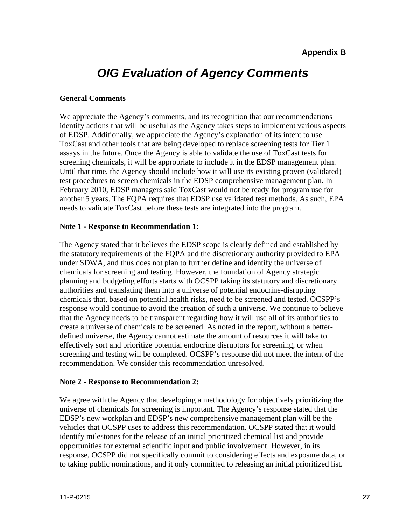## *OIG Evaluation of Agency Comments*

#### **General Comments**

We appreciate the Agency's comments, and its recognition that our recommendations identify actions that will be useful as the Agency takes steps to implement various aspects of EDSP. Additionally, we appreciate the Agency's explanation of its intent to use ToxCast and other tools that are being developed to replace screening tests for Tier 1 assays in the future. Once the Agency is able to validate the use of ToxCast tests for screening chemicals, it will be appropriate to include it in the EDSP management plan. Until that time, the Agency should include how it will use its existing proven (validated) test procedures to screen chemicals in the EDSP comprehensive management plan. In February 2010, EDSP managers said ToxCast would not be ready for program use for another 5 years. The FQPA requires that EDSP use validated test methods. As such, EPA needs to validate ToxCast before these tests are integrated into the program.

#### **Note 1 - Response to Recommendation 1:**

The Agency stated that it believes the EDSP scope is clearly defined and established by the statutory requirements of the FQPA and the discretionary authority provided to EPA under SDWA, and thus does not plan to further define and identify the universe of chemicals for screening and testing. However, the foundation of Agency strategic planning and budgeting efforts starts with OCSPP taking its statutory and discretionary authorities and translating them into a universe of potential endocrine-disrupting chemicals that, based on potential health risks, need to be screened and tested. OCSPP's response would continue to avoid the creation of such a universe. We continue to believe that the Agency needs to be transparent regarding how it will use all of its authorities to create a universe of chemicals to be screened. As noted in the report, without a betterdefined universe, the Agency cannot estimate the amount of resources it will take to effectively sort and prioritize potential endocrine disruptors for screening, or when screening and testing will be completed. OCSPP's response did not meet the intent of the recommendation. We consider this recommendation unresolved.

#### **Note 2 - Response to Recommendation 2:**

We agree with the Agency that developing a methodology for objectively prioritizing the universe of chemicals for screening is important. The Agency's response stated that the EDSP's new workplan and EDSP's new comprehensive management plan will be the vehicles that OCSPP uses to address this recommendation. OCSPP stated that it would identify milestones for the release of an initial prioritized chemical list and provide opportunities for external scientific input and public involvement. However, in its response, OCSPP did not specifically commit to considering effects and exposure data, or to taking public nominations, and it only committed to releasing an initial prioritized list.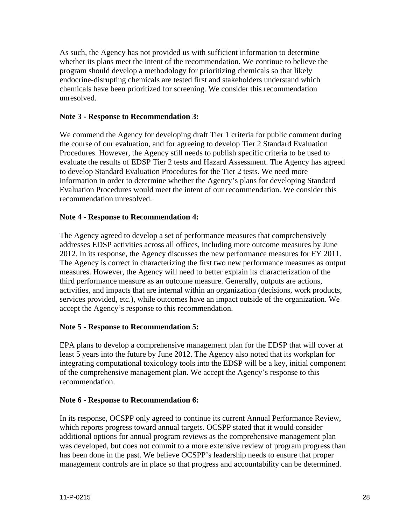As such, the Agency has not provided us with sufficient information to determine whether its plans meet the intent of the recommendation. We continue to believe the program should develop a methodology for prioritizing chemicals so that likely endocrine-disrupting chemicals are tested first and stakeholders understand which chemicals have been prioritized for screening. We consider this recommendation unresolved.

#### **Note 3 - Response to Recommendation 3:**

We commend the Agency for developing draft Tier 1 criteria for public comment during the course of our evaluation, and for agreeing to develop Tier 2 Standard Evaluation Procedures. However, the Agency still needs to publish specific criteria to be used to evaluate the results of EDSP Tier 2 tests and Hazard Assessment. The Agency has agreed to develop Standard Evaluation Procedures for the Tier 2 tests. We need more information in order to determine whether the Agency's plans for developing Standard Evaluation Procedures would meet the intent of our recommendation. We consider this recommendation unresolved.

#### **Note 4 - Response to Recommendation 4:**

The Agency agreed to develop a set of performance measures that comprehensively addresses EDSP activities across all offices, including more outcome measures by June 2012. In its response, the Agency discusses the new performance measures for FY 2011. The Agency is correct in characterizing the first two new performance measures as output measures. However, the Agency will need to better explain its characterization of the third performance measure as an outcome measure. Generally, outputs are actions, activities, and impacts that are internal within an organization (decisions, work products, services provided, etc.), while outcomes have an impact outside of the organization. We accept the Agency's response to this recommendation.

#### **Note 5 - Response to Recommendation 5:**

EPA plans to develop a comprehensive management plan for the EDSP that will cover at least 5 years into the future by June 2012. The Agency also noted that its workplan for integrating computational toxicology tools into the EDSP will be a key, initial component of the comprehensive management plan. We accept the Agency's response to this recommendation.

#### **Note 6 - Response to Recommendation 6:**

In its response, OCSPP only agreed to continue its current Annual Performance Review, which reports progress toward annual targets. OCSPP stated that it would consider additional options for annual program reviews as the comprehensive management plan was developed, but does not commit to a more extensive review of program progress than has been done in the past. We believe OCSPP's leadership needs to ensure that proper management controls are in place so that progress and accountability can be determined.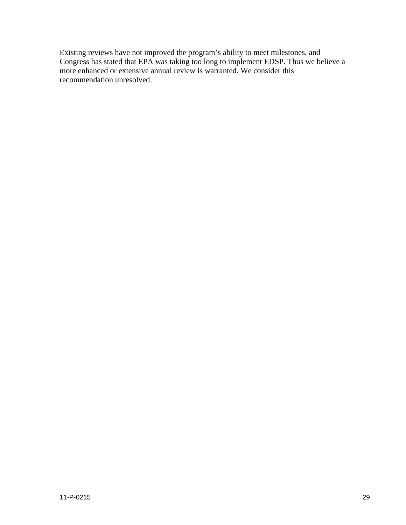Existing reviews have not improved the program's ability to meet milestones, and Congress has stated that EPA was taking too long to implement EDSP. Thus we believe a more enhanced or extensive annual review is warranted. We consider this recommendation unresolved.